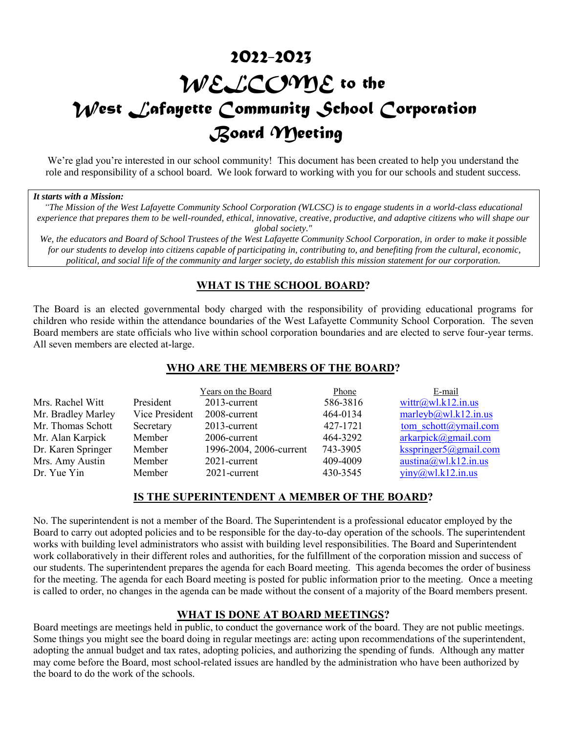# *2022-2023 WELCOME to the West Lafayette Community School Corporation Board Meeting*

We're glad you're interested in our school community! This document has been created to help you understand the role and responsibility of a school board. We look forward to working with you for our schools and student success.

#### *It starts with a Mission:*

*"The Mission of the West Lafayette Community School Corporation (WLCSC) is to engage students in a world-class educational experience that prepares them to be well-rounded, ethical, innovative, creative, productive, and adaptive citizens who will shape our global society."*

*We, the educators and Board of School Trustees of the West Lafayette Community School Corporation, in order to make it possible for our students to develop into citizens capable of participating in, contributing to, and benefiting from the cultural, economic, political, and social life of the community and larger society, do establish this mission statement for our corporation.*

## **WHAT IS THE SCHOOL BOARD?**

The Board is an elected governmental body charged with the responsibility of providing educational programs for children who reside within the attendance boundaries of the West Lafayette Community School Corporation. The seven Board members are state officials who live within school corporation boundaries and are elected to serve four-year terms. All seven members are elected at-large.

## **WHO ARE THE MEMBERS OF THE BOARD?**

|                    |                | Years on the Board      | Phone    | E-mail                           |
|--------------------|----------------|-------------------------|----------|----------------------------------|
| Mrs. Rachel Witt   | President      | 2013-current            | 586-3816 | wittr@wl.k12.in.us               |
| Mr. Bradley Marley | Vice President | 2008-current            | 464-0134 | marleyb@wl.k12.in.us             |
| Mr. Thomas Schott  | Secretary      | 2013-current            | 427-1721 | tom schott@ymail.com             |
| Mr. Alan Karpick   | Member         | 2006-current            | 464-3292 | $arkarpick$ <i>(a)</i> gmail.com |
| Dr. Karen Springer | Member         | 1996-2004, 2006-current | 743-3905 | ksspringer $5@g$ mail.com        |
| Mrs. Amy Austin    | Member         | 2021-current            | 409-4009 | austina@wl.k12.in.us             |
| Dr. Yue Yin        | Member         | 2021-current            | 430-3545 | $\text{viny}(a)$ wl.k12.in.us    |

## **IS THE SUPERINTENDENT A MEMBER OF THE BOARD?**

No. The superintendent is not a member of the Board. The Superintendent is a professional educator employed by the Board to carry out adopted policies and to be responsible for the day-to-day operation of the schools. The superintendent works with building level administrators who assist with building level responsibilities. The Board and Superintendent work collaboratively in their different roles and authorities, for the fulfillment of the corporation mission and success of our students. The superintendent prepares the agenda for each Board meeting. This agenda becomes the order of business for the meeting. The agenda for each Board meeting is posted for public information prior to the meeting. Once a meeting is called to order, no changes in the agenda can be made without the consent of a majority of the Board members present.

## **WHAT IS DONE AT BOARD MEETINGS?**

Board meetings are meetings held in public, to conduct the governance work of the board. They are not public meetings. Some things you might see the board doing in regular meetings are: acting upon recommendations of the superintendent, adopting the annual budget and tax rates, adopting policies, and authorizing the spending of funds. Although any matter may come before the Board, most school-related issues are handled by the administration who have been authorized by the board to do the work of the schools.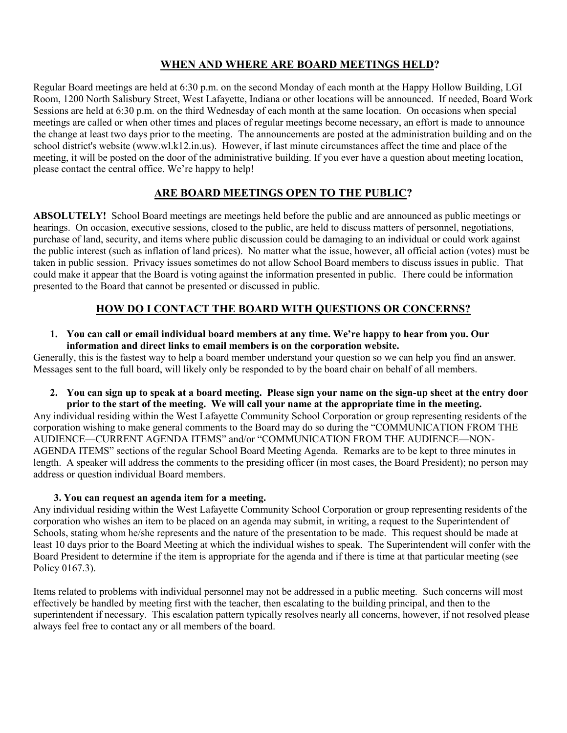# **WHEN AND WHERE ARE BOARD MEETINGS HELD?**

Regular Board meetings are held at 6:30 p.m. on the second Monday of each month at the Happy Hollow Building, LGI Room, 1200 North Salisbury Street, West Lafayette, Indiana or other locations will be announced. If needed, Board Work Sessions are held at 6:30 p.m. on the third Wednesday of each month at the same location. On occasions when special meetings are called or when other times and places of regular meetings become necessary, an effort is made to announce the change at least two days prior to the meeting. The announcements are posted at the administration building and on the school district's website (www.wl.k12.in.us). However, if last minute circumstances affect the time and place of the meeting, it will be posted on the door of the administrative building. If you ever have a question about meeting location, please contact the central office. We're happy to help!

# **ARE BOARD MEETINGS OPEN TO THE PUBLIC?**

**ABSOLUTELY!** School Board meetings are meetings held before the public and are announced as public meetings or hearings. On occasion, executive sessions, closed to the public, are held to discuss matters of personnel, negotiations, purchase of land, security, and items where public discussion could be damaging to an individual or could work against the public interest (such as inflation of land prices). No matter what the issue, however, all official action (votes) must be taken in public session. Privacy issues sometimes do not allow School Board members to discuss issues in public. That could make it appear that the Board is voting against the information presented in public. There could be information presented to the Board that cannot be presented or discussed in public.

# **HOW DO I CONTACT THE BOARD WITH QUESTIONS OR CONCERNS?**

**1. You can call or email individual board members at any time. We're happy to hear from you. Our information and direct links to email members is on the corporation website.** 

Generally, this is the fastest way to help a board member understand your question so we can help you find an answer. Messages sent to the full board, will likely only be responded to by the board chair on behalf of all members.

**2. You can sign up to speak at a board meeting. Please sign your name on the sign-up sheet at the entry door prior to the start of the meeting. We will call your name at the appropriate time in the meeting.**

Any individual residing within the West Lafayette Community School Corporation or group representing residents of the corporation wishing to make general comments to the Board may do so during the "COMMUNICATION FROM THE AUDIENCE—CURRENT AGENDA ITEMS" and/or "COMMUNICATION FROM THE AUDIENCE—NON-AGENDA ITEMS" sections of the regular School Board Meeting Agenda. Remarks are to be kept to three minutes in length. A speaker will address the comments to the presiding officer (in most cases, the Board President); no person may address or question individual Board members.

## **3. You can request an agenda item for a meeting.**

Any individual residing within the West Lafayette Community School Corporation or group representing residents of the corporation who wishes an item to be placed on an agenda may submit, in writing, a request to the Superintendent of Schools, stating whom he/she represents and the nature of the presentation to be made. This request should be made at least 10 days prior to the Board Meeting at which the individual wishes to speak. The Superintendent will confer with the Board President to determine if the item is appropriate for the agenda and if there is time at that particular meeting (see Policy 0167.3).

Items related to problems with individual personnel may not be addressed in a public meeting. Such concerns will most effectively be handled by meeting first with the teacher, then escalating to the building principal, and then to the superintendent if necessary. This escalation pattern typically resolves nearly all concerns, however, if not resolved please always feel free to contact any or all members of the board.